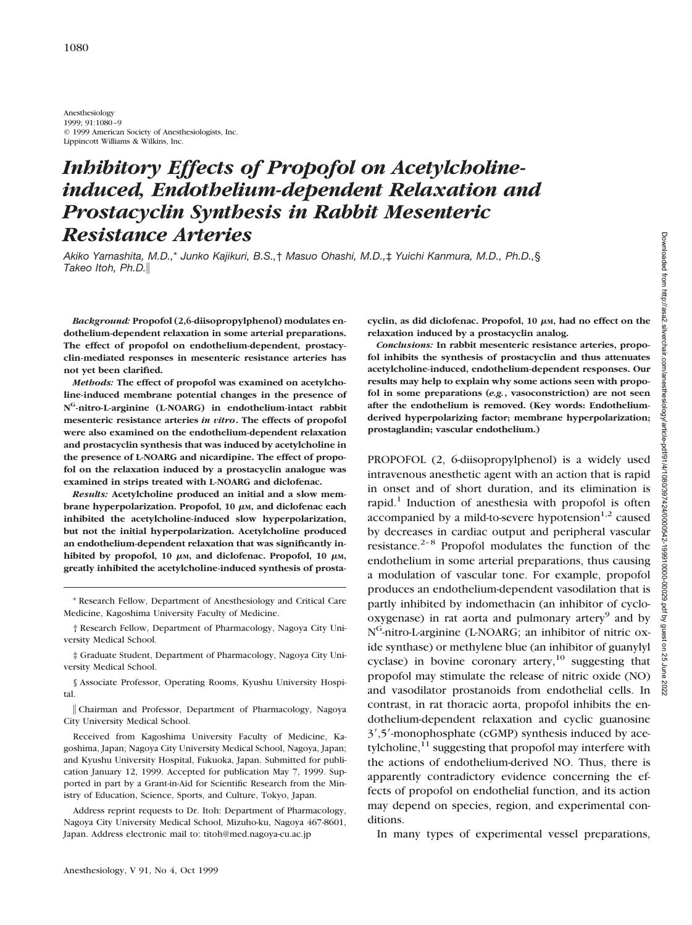Anesthesiology 1999; 91:1080–9 © 1999 American Society of Anesthesiologists, Inc. Lippincott Williams & Wilkins, Inc.

# *Inhibitory Effects of Propofol on Acetylcholineinduced, Endothelium-dependent Relaxation and Prostacyclin Synthesis in Rabbit Mesenteric Resistance Arteries*

*Akiko Yamashita, M.D.,*\* *Junko Kajikuri, B.S.,*† *Masuo Ohashi, M.D.,*‡ *Yuichi Kanmura, M.D., Ph.D.,*§ *Takeo Itoh, Ph.D.*i

*Background:* **Propofol (2,6-diisopropylphenol) modulates endothelium-dependent relaxation in some arterial preparations. The effect of propofol on endothelium-dependent, prostacyclin-mediated responses in mesenteric resistance arteries has not yet been clarified.**

*Methods:* **The effect of propofol was examined on acetylcholine-induced membrane potential changes in the presence of NG-nitro-L-arginine (L-NOARG) in endothelium-intact rabbit mesenteric resistance arteries** *in vitro***. The effects of propofol were also examined on the endothelium-dependent relaxation and prostacyclin synthesis that was induced by acetylcholine in the presence of L-NOARG and nicardipine. The effect of propofol on the relaxation induced by a prostacyclin analogue was examined in strips treated with L-NOARG and diclofenac.**

*Results:* **Acetylcholine produced an initial and a slow membrane hyperpolarization. Propofol, 10 μm, and diclofenac each inhibited the acetylcholine-induced slow hyperpolarization, but not the initial hyperpolarization. Acetylcholine produced an endothelium-dependent relaxation that was significantly in**hibited by propofol, 10  $\mu$ M, and diclofenac. Propofol, 10  $\mu$ M, **greatly inhibited the acetylcholine-induced synthesis of prosta-**

\* Research Fellow, Department of Anesthesiology and Critical Care Medicine, Kagoshima University Faculty of Medicine.

† Research Fellow, Department of Pharmacology, Nagoya City University Medical School.

‡ Graduate Student, Department of Pharmacology, Nagoya City University Medical School.

§ Associate Professor, Operating Rooms, Kyushu University Hospital.

i Chairman and Professor, Department of Pharmacology, Nagoya City University Medical School.

Received from Kagoshima University Faculty of Medicine, Kagoshima, Japan; Nagoya City University Medical School, Nagoya, Japan; and Kyushu University Hospital, Fukuoka, Japan. Submitted for publication January 12, 1999. Accepted for publication May 7, 1999. Supported in part by a Grant-in-Aid for Scientific Research from the Ministry of Education, Science, Sports, and Culture, Tokyo, Japan.

Address reprint requests to Dr. Itoh: Department of Pharmacology, Nagoya City University Medical School, Mizuho-ku, Nagoya 467-8601, Japan. Address electronic mail to: titoh@med.nagoya-cu.ac.jp

cyclin, as did diclofenac. Propofol,  $10 \mu$ <sub>M</sub>, had no effect on the **relaxation induced by a prostacyclin analog.**

*Conclusions:* **In rabbit mesenteric resistance arteries, propofol inhibits the synthesis of prostacyclin and thus attenuates acetylcholine-induced, endothelium-dependent responses. Our results may help to explain why some actions seen with propofol in some preparations (***e.g.***, vasoconstriction) are not seen after the endothelium is removed. (Key words: Endotheliumderived hyperpolarizing factor; membrane hyperpolarization; prostaglandin; vascular endothelium.)**

PROPOFOL (2, 6-diisopropylphenol) is a widely used intravenous anesthetic agent with an action that is rapid in onset and of short duration, and its elimination is rapid.<sup>1</sup> Induction of anesthesia with propofol is often accompanied by a mild-to-severe hypotension $1,2$  caused by decreases in cardiac output and peripheral vascular resistance. $2-8$  Propofol modulates the function of the endothelium in some arterial preparations, thus causing a modulation of vascular tone. For example, propofol produces an endothelium-dependent vasodilation that is partly inhibited by indomethacin (an inhibitor of cyclo $oxygenase)$  in rat aorta and pulmonary artery<sup>9</sup> and by N<sup>G</sup>-nitro-L-arginine (L-NOARG; an inhibitor of nitric oxide synthase) or methylene blue (an inhibitor of guanylyl cyclase) in bovine coronary artery,<sup>10</sup> suggesting that propofol may stimulate the release of nitric oxide (NO) and vasodilator prostanoids from endothelial cells. In contrast, in rat thoracic aorta, propofol inhibits the endothelium-dependent relaxation and cyclic guanosine  $3'$ ,5 $'$ -monophosphate (cGMP) synthesis induced by acetylcholine, $11$  suggesting that propofol may interfere with the actions of endothelium-derived NO. Thus, there is apparently contradictory evidence concerning the effects of propofol on endothelial function, and its action may depend on species, region, and experimental conditions.

In many types of experimental vessel preparations,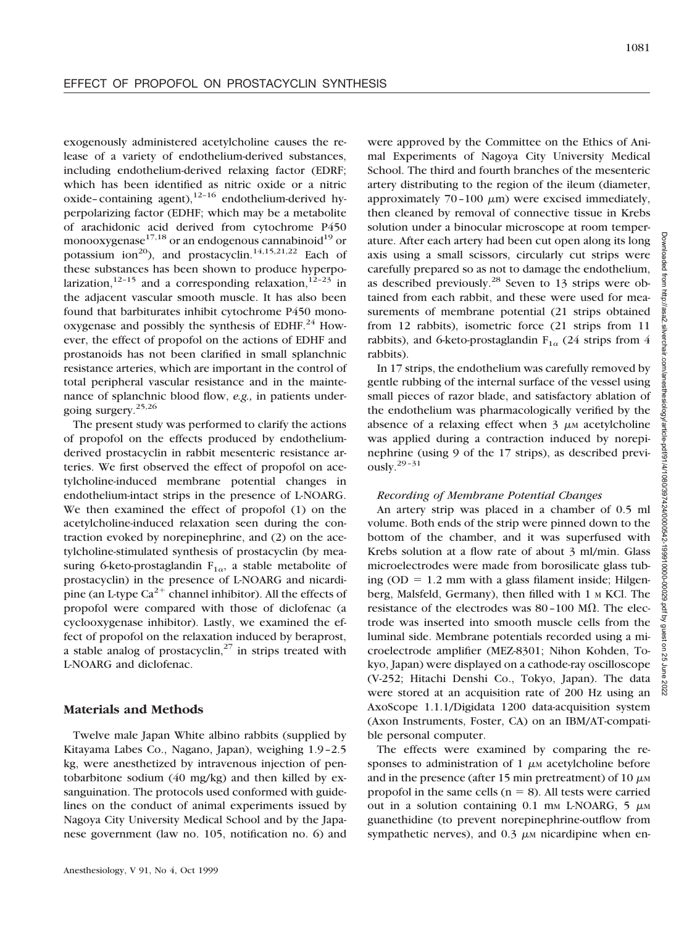exogenously administered acetylcholine causes the release of a variety of endothelium-derived substances, including endothelium-derived relaxing factor (EDRF; which has been identified as nitric oxide or a nitric oxide–containing agent), $12-16$  endothelium-derived hyperpolarizing factor (EDHF; which may be a metabolite of arachidonic acid derived from cytochrome P450 monooxygenase<sup>17,18</sup> or an endogenous cannabinoid<sup>19</sup> or potassium ion<sup>20</sup>), and prostacyclin.<sup>14,15,21,22</sup> Each of these substances has been shown to produce hyperpolarization,<sup>12–15</sup> and a corresponding relaxation,<sup>12–23</sup> in the adjacent vascular smooth muscle. It has also been found that barbiturates inhibit cytochrome P450 monooxygenase and possibly the synthesis of EDHF. $^{24}$  However, the effect of propofol on the actions of EDHF and prostanoids has not been clarified in small splanchnic resistance arteries, which are important in the control of total peripheral vascular resistance and in the maintenance of splanchnic blood flow, *e.g.,* in patients undergoing surgery.25,26

The present study was performed to clarify the actions of propofol on the effects produced by endotheliumderived prostacyclin in rabbit mesenteric resistance arteries. We first observed the effect of propofol on acetylcholine-induced membrane potential changes in endothelium-intact strips in the presence of L-NOARG. We then examined the effect of propofol (1) on the acetylcholine-induced relaxation seen during the contraction evoked by norepinephrine, and (2) on the acetylcholine-stimulated synthesis of prostacyclin (by measuring 6-keto-prostaglandin  $F_{1\alpha}$ , a stable metabolite of prostacyclin) in the presence of L-NOARG and nicardipine (an L-type  $Ca^{2+}$  channel inhibitor). All the effects of propofol were compared with those of diclofenac (a cyclooxygenase inhibitor). Lastly, we examined the effect of propofol on the relaxation induced by beraprost, a stable analog of prostacyclin, $27$  in strips treated with L-NOARG and diclofenac.

#### **Materials and Methods**

Twelve male Japan White albino rabbits (supplied by Kitayama Labes Co., Nagano, Japan), weighing 1.9–2.5 kg, were anesthetized by intravenous injection of pentobarbitone sodium (40 mg/kg) and then killed by exsanguination. The protocols used conformed with guidelines on the conduct of animal experiments issued by Nagoya City University Medical School and by the Japanese government (law no. 105, notification no. 6) and were approved by the Committee on the Ethics of Animal Experiments of Nagoya City University Medical School. The third and fourth branches of the mesenteric artery distributing to the region of the ileum (diameter, approximately  $70-100 \mu m$ ) were excised immediately, then cleaned by removal of connective tissue in Krebs solution under a binocular microscope at room temperature. After each artery had been cut open along its long axis using a small scissors, circularly cut strips were carefully prepared so as not to damage the endothelium, as described previously.<sup>28</sup> Seven to 13 strips were obtained from each rabbit, and these were used for measurements of membrane potential (21 strips obtained from 12 rabbits), isometric force (21 strips from 11 rabbits), and 6-keto-prostaglandin  $F_{1\alpha}$  (24 strips from 4 rabbits).

In 17 strips, the endothelium was carefully removed by gentle rubbing of the internal surface of the vessel using small pieces of razor blade, and satisfactory ablation of the endothelium was pharmacologically verified by the absence of a relaxing effect when  $\frac{3}{2}$   $\mu$ M acetylcholine was applied during a contraction induced by norepinephrine (using 9 of the 17 strips), as described previously. $29-31$ 

#### *Recording of Membrane Potential Changes*

An artery strip was placed in a chamber of 0.5 ml volume. Both ends of the strip were pinned down to the bottom of the chamber, and it was superfused with Krebs solution at a flow rate of about 3 ml/min. Glass microelectrodes were made from borosilicate glass tubing  $(OD = 1.2 \text{ mm with a glass filament inside; Hilgen-}$ berg, Malsfeld, Germany), then filled with 1 M KCl. The resistance of the electrodes was  $80-100$  M $\Omega$ . The electrode was inserted into smooth muscle cells from the luminal side. Membrane potentials recorded using a microelectrode amplifier (MEZ-8301; Nihon Kohden, Tokyo, Japan) were displayed on a cathode-ray oscilloscope (V-252; Hitachi Denshi Co., Tokyo, Japan). The data were stored at an acquisition rate of 200 Hz using an AxoScope 1.1.1/Digidata 1200 data-acquisition system (Axon Instruments, Foster, CA) on an IBM/AT-compatible personal computer.

The effects were examined by comparing the responses to administration of 1  $\mu$ M acetylcholine before and in the presence (after 15 min pretreatment) of 10  $\mu$ MM propofol in the same cells ( $n = 8$ ). All tests were carried out in a solution containing  $0.1$  mm L-NOARG,  $5 \mu$ M guanethidine (to prevent norepinephrine-outflow from sympathetic nerves), and  $0.3 \mu$ M nicardipine when en-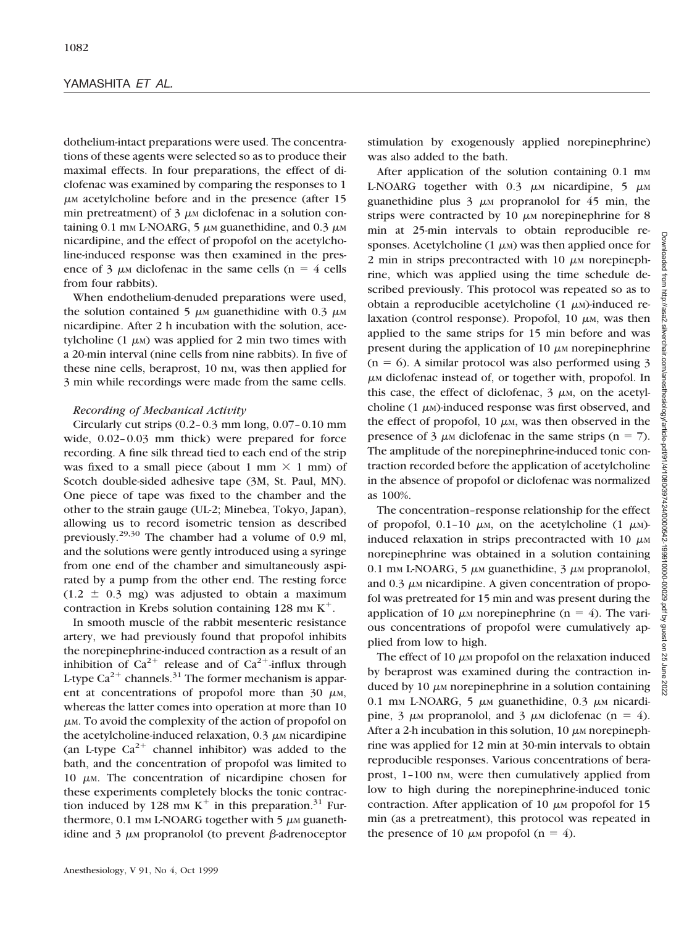#### YAMASHITA *ET AL.*

dothelium-intact preparations were used. The concentrations of these agents were selected so as to produce their maximal effects. In four preparations, the effect of diclofenac was examined by comparing the responses to 1  $\mu$ M acetylcholine before and in the presence (after 15 min pretreatment) of  $3 \mu$ M diclofenac in a solution containing 0.1 mm L-NOARG, 5  $\mu$ m guanethidine, and 0.3  $\mu$ m nicardipine, and the effect of propofol on the acetylcholine-induced response was then examined in the presence of 3  $\mu$ M diclofenac in the same cells (n = 4 cells from four rabbits).

When endothelium-denuded preparations were used, the solution contained 5  $\mu$ M guanethidine with 0.3  $\mu$ M nicardipine. After 2 h incubation with the solution, acetylcholine (1  $\mu$ M) was applied for 2 min two times with a 20-min interval (nine cells from nine rabbits). In five of these nine cells, beraprost, 10 nm, was then applied for 3 min while recordings were made from the same cells.

#### *Recording of Mechanical Activity*

Circularly cut strips  $(0.2-0.3 \text{ mm long}, 0.07-0.10 \text{ mm})$ wide, 0.02–0.03 mm thick) were prepared for force recording. A fine silk thread tied to each end of the strip was fixed to a small piece (about 1 mm  $\times$  1 mm) of Scotch double-sided adhesive tape (3M, St. Paul, MN). One piece of tape was fixed to the chamber and the other to the strain gauge (UL-2; Minebea, Tokyo, Japan), allowing us to record isometric tension as described previously.29,30 The chamber had a volume of 0.9 ml, and the solutions were gently introduced using a syringe from one end of the chamber and simultaneously aspirated by a pump from the other end. The resting force  $(1.2 \pm 0.3 \text{ mg})$  was adjusted to obtain a maximum contraction in Krebs solution containing 128 mm  $K^+$ .

In smooth muscle of the rabbit mesenteric resistance artery, we had previously found that propofol inhibits the norepinephrine-induced contraction as a result of an inhibition of  $Ca^{2+}$  release and of  $Ca^{2+}$ -influx through L-type  $Ca^{2+}$  channels.<sup>31</sup> The former mechanism is apparent at concentrations of propofol more than 30  $\mu$ M, whereas the latter comes into operation at more than 10  $\mu$ <sub>M</sub>. To avoid the complexity of the action of propofol on the acetylcholine-induced relaxation,  $0.3 \mu$ M nicardipine (an L-type  $Ca^{2+}$  channel inhibitor) was added to the bath, and the concentration of propofol was limited to 10  $\mu$ M. The concentration of nicardipine chosen for these experiments completely blocks the tonic contraction induced by 128 mm  $K^+$  in this preparation.<sup>31</sup> Furthermore,  $0.1 \text{ mm}$  L-NOARG together with 5  $\mu$ M guanethidine and  $3 \mu$ M propranolol (to prevent  $\beta$ -adrenoceptor

stimulation by exogenously applied norepinephrine) was also added to the bath.

After application of the solution containing 0.1 mm L-NOARG together with  $0.3 \mu$ M nicardipine,  $5 \mu$ M guanethidine plus  $3 \mu$ M propranolol for 45 min, the strips were contracted by 10  $\mu$ M norepinephrine for 8 min at 25-min intervals to obtain reproducible responses. Acetylcholine  $(1 \mu)$  was then applied once for 2 min in strips precontracted with  $10 \mu$ M norepinephrine, which was applied using the time schedule described previously. This protocol was repeated so as to obtain a reproducible acetylcholine  $(1 \mu)$ -induced relaxation (control response). Propofol,  $10 \mu$ M, was then applied to the same strips for 15 min before and was present during the application of 10  $\mu$ M norepinephrine  $(n = 6)$ . A similar protocol was also performed using 3  $\mu$ <sub>M</sub> diclofenac instead of, or together with, propofol. In this case, the effect of diclofenac,  $3 \mu$ M, on the acetylcholine  $(1 \mu)$ -induced response was first observed, and the effect of propofol, 10  $\mu$ M, was then observed in the presence of 3  $\mu$ M diclofenac in the same strips (n = 7). The amplitude of the norepinephrine-induced tonic contraction recorded before the application of acetylcholine in the absence of propofol or diclofenac was normalized as 100%.

The concentration–response relationship for the effect of propofol, 0.1–10  $\mu$ M, on the acetylcholine (1  $\mu$ M)induced relaxation in strips precontracted with  $10 \mu$ MM norepinephrine was obtained in a solution containing 0.1 mm L-NOARG, 5  $\mu$ m guanethidine, 3  $\mu$ m propranolol, and  $0.3 \mu$ <sub>M</sub> nicardipine. A given concentration of propofol was pretreated for 15 min and was present during the application of 10  $\mu$ M norepinephrine (n = 4). The various concentrations of propofol were cumulatively applied from low to high.

The effect of 10  $\mu$ M propofol on the relaxation induced by beraprost was examined during the contraction induced by 10  $\mu$ M norepinephrine in a solution containing 0.1 mm L-NOARG, 5  $\mu$ m guanethidine, 0.3  $\mu$ m nicardipine, 3  $\mu$ M propranolol, and 3  $\mu$ M diclofenac (n = 4). After a 2-h incubation in this solution,  $10 \mu$ M norepinephrine was applied for 12 min at 30-min intervals to obtain reproducible responses. Various concentrations of beraprost, 1-100 nm, were then cumulatively applied from low to high during the norepinephrine-induced tonic contraction. After application of 10  $\mu$ M propofol for 15 min (as a pretreatment), this protocol was repeated in the presence of 10  $\mu$ M propofol (n = 4).

**Downloaded**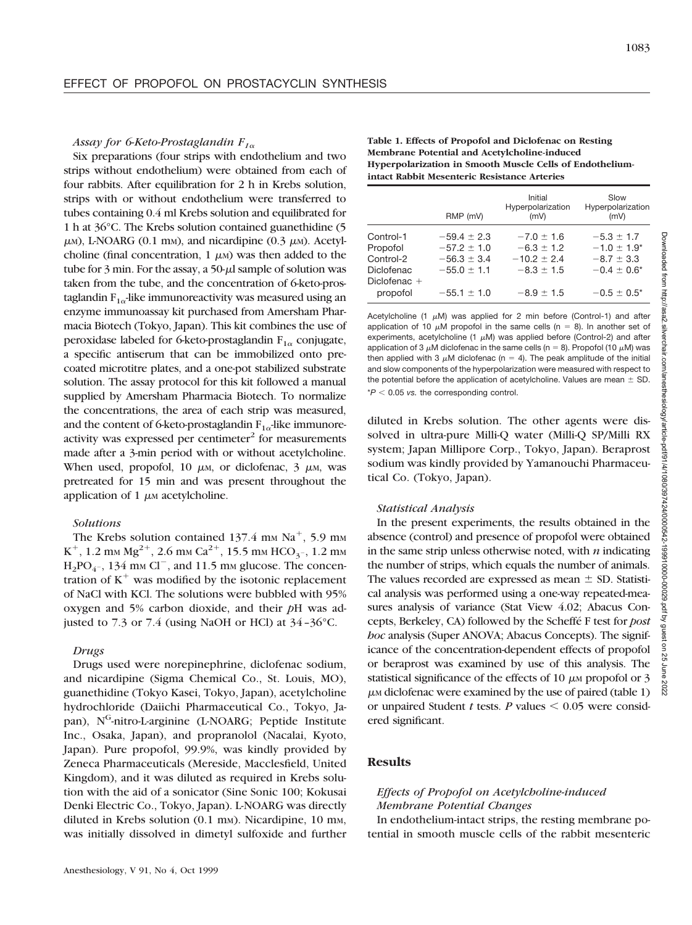#### *Assay for 6-Keto-Prostaglandin F1*<sup>a</sup>

Six preparations (four strips with endothelium and two strips without endothelium) were obtained from each of four rabbits. After equilibration for 2 h in Krebs solution, strips with or without endothelium were transferred to tubes containing 0.4 ml Krebs solution and equilibrated for 1 h at 36°C. The Krebs solution contained guanethidine (5  $\mu$ M), L-NOARG (0.1 mM), and nicardipine (0.3  $\mu$ M). Acetylcholine (final concentration,  $1 \mu$ M) was then added to the tube for  $3$  min. For the assay, a  $50-\mu l$  sample of solution was taken from the tube, and the concentration of 6-keto-prostaglandin  $F_{1\alpha}$ -like immunoreactivity was measured using an enzyme immunoassay kit purchased from Amersham Pharmacia Biotech (Tokyo, Japan). This kit combines the use of peroxidase labeled for 6-keto-prostaglandin  $F_{1\alpha}$  conjugate, a specific antiserum that can be immobilized onto precoated microtitre plates, and a one-pot stabilized substrate solution. The assay protocol for this kit followed a manual supplied by Amersham Pharmacia Biotech. To normalize the concentrations, the area of each strip was measured, and the content of 6-keto-prostaglandin  $F_{1\alpha}$ -like immunoreactivity was expressed per centimeter $\epsilon^2$  for measurements made after a 3-min period with or without acetylcholine. When used, propofol, 10  $\mu$ M, or diclofenac, 3  $\mu$ M, was pretreated for 15 min and was present throughout the application of 1  $\mu$ M acetylcholine.

## *Solutions*

The Krebs solution contained  $137.4 \text{ mm Na}^+$ , 5.9 mm  $K^+$ , 1.2 mm  $Mg^{2+}$ , 2.6 mm  $Ca^{2+}$ , 15.5 mm  $HCO_{3-}$ , 1.2 mm  $H_2PO_{4^-}$ , 134 mm Cl<sup>-</sup>, and 11.5 mm glucose. The concentration of  $K^+$  was modified by the isotonic replacement of NaCl with KCl. The solutions were bubbled with 95% oxygen and 5% carbon dioxide, and their *p*H was adjusted to 7.3 or 7.4 (using NaOH or HCl) at 34–36°C.

#### *Drugs*

Drugs used were norepinephrine, diclofenac sodium, and nicardipine (Sigma Chemical Co., St. Louis, MO), guanethidine (Tokyo Kasei, Tokyo, Japan), acetylcholine hydrochloride (Daiichi Pharmaceutical Co., Tokyo, Japan), N<sup>G</sup>-nitro-L-arginine (L-NOARG; Peptide Institute Inc., Osaka, Japan), and propranolol (Nacalai, Kyoto, Japan). Pure propofol, 99.9%, was kindly provided by Zeneca Pharmaceuticals (Mereside, Macclesfield, United Kingdom), and it was diluted as required in Krebs solution with the aid of a sonicator (Sine Sonic 100; Kokusai Denki Electric Co., Tokyo, Japan). L-NOARG was directly diluted in Krebs solution (0.1 mm). Nicardipine, 10 mm, was initially dissolved in dimetyl sulfoxide and further **Table 1. Effects of Propofol and Diclofenac on Resting Membrane Potential and Acetylcholine-induced Hyperpolarization in Smooth Muscle Cells of Endotheliumintact Rabbit Mesenteric Resistance Arteries**

|                | RMP (mV)        | Initial<br>Hyperpolarization<br>(mV) | Slow<br>Hyperpolarization<br>(mV) |
|----------------|-----------------|--------------------------------------|-----------------------------------|
| Control-1      | $-59.4 \pm 2.3$ | $-7.0 \pm 1.6$                       | $-5.3 \pm 1.7$                    |
| Propofol       | $-57.2 \pm 1.0$ | $-6.3 \pm 1.2$                       | $-1.0 \pm 1.9^*$                  |
| Control-2      | $-56.3 \pm 3.4$ | $-10.2 \pm 2.4$                      | $-8.7 \pm 3.3$                    |
| Diclofenac     | $-55.0 \pm 1.1$ | $-8.3 \pm 1.5$                       | $-0.4 \pm 0.6^*$                  |
| Diclofenac $+$ |                 |                                      |                                   |
| propofol       | $-55.1 \pm 1.0$ | $-8.9 \pm 1.5$                       | $-0.5 \pm 0.5^*$                  |

Acetylcholine (1  $\mu$ M) was applied for 2 min before (Control-1) and after application of 10  $\mu$ M propofol in the same cells (n = 8). In another set of experiments, acetylcholine (1  $\mu$ M) was applied before (Control-2) and after application of 3  $\mu$ M diclofenac in the same cells (n = 8). Propofol (10  $\mu$ M) was then applied with 3  $\mu$ M diclofenac (n = 4). The peak amplitude of the initial and slow components of the hyperpolarization were measured with respect to the potential before the application of acetylcholine. Values are mean  $\pm$  SD.  $*P < 0.05$  vs. the corresponding control.

diluted in Krebs solution. The other agents were dissolved in ultra-pure Milli-Q water (Milli-Q SP/Milli RX system; Japan Millipore Corp., Tokyo, Japan). Beraprost sodium was kindly provided by Yamanouchi Pharmaceutical Co. (Tokyo, Japan).

#### *Statistical Analysis*

In the present experiments, the results obtained in the absence (control) and presence of propofol were obtained in the same strip unless otherwise noted, with *n* indicating the number of strips, which equals the number of animals. The values recorded are expressed as mean  $\pm$  SD. Statistical analysis was performed using a one-way repeated-measures analysis of variance (Stat View 4.02; Abacus Concepts, Berkeley, CA) followed by the Scheffe´ F test for *post hoc* analysis (Super ANOVA; Abacus Concepts). The significance of the concentration-dependent effects of propofol or beraprost was examined by use of this analysis. The statistical significance of the effects of 10  $\mu$ M propofol or 3  $\mu$ <sub>M</sub> diclofenac were examined by the use of paired (table 1) or unpaired Student *t* tests. *P* values  $\leq 0.05$  were considered significant.

#### **Results**

## *Effects of Propofol on Acetylcholine-induced Membrane Potential Changes*

In endothelium-intact strips, the resting membrane potential in smooth muscle cells of the rabbit mesenteric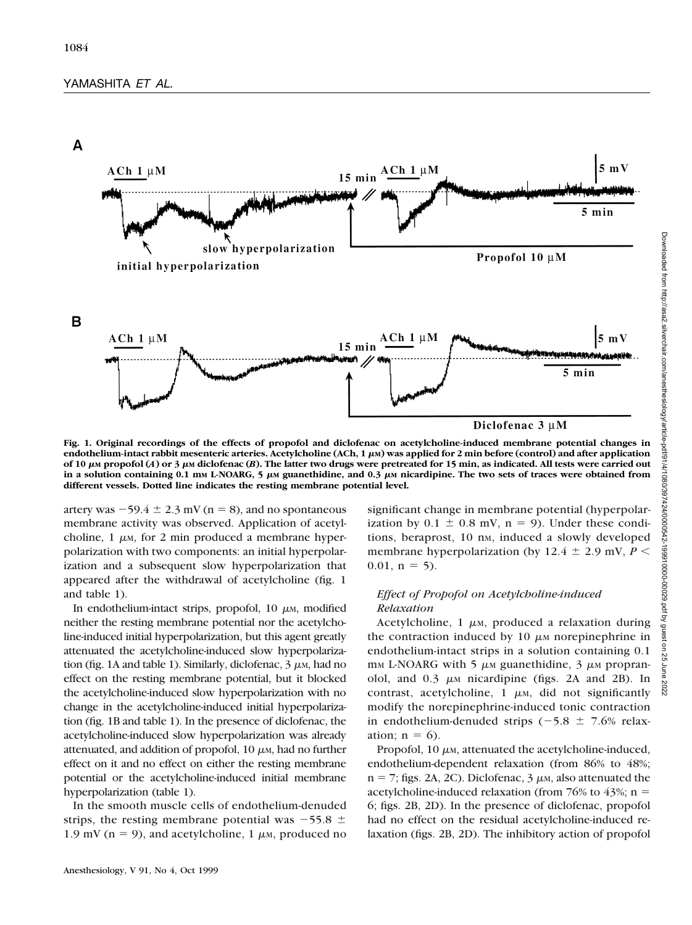



**Fig. 1. Original recordings of the effects of propofol and diclofenac on acetylcholine-induced membrane potential changes in endothelium-intact rabbit mesenteric arteries. Acetylcholine (ACh, 1 μM) was applied for 2 min before (control) and after application of 10** <sup>m</sup>**M propofol (***A***) or 3** <sup>m</sup>**M diclofenac (***B***). The latter two drugs were pretreated for 15 min, as indicated. All tests were carried out** in a solution containing  $0.1$  mm L-NOARG, 5  $\mu$ m guanethidine, and  $0.3$   $\mu$ m nicardipine. The two sets of traces were obtained from **different vessels. Dotted line indicates the resting membrane potential level.**

artery was  $-59.4 \pm 2.3$  mV (n = 8), and no spontaneous membrane activity was observed. Application of acetylcholine,  $1 \mu$ <sub>M</sub>, for 2 min produced a membrane hyperpolarization with two components: an initial hyperpolarization and a subsequent slow hyperpolarization that appeared after the withdrawal of acetylcholine (fig. 1 and table 1).

In endothelium-intact strips, propofol,  $10 \mu$ M, modified neither the resting membrane potential nor the acetylcholine-induced initial hyperpolarization, but this agent greatly attenuated the acetylcholine-induced slow hyperpolarization (fig. 1A and table 1). Similarly, diclofenac,  $3 \mu$ M, had no effect on the resting membrane potential, but it blocked the acetylcholine-induced slow hyperpolarization with no change in the acetylcholine-induced initial hyperpolarization (fig. 1B and table 1). In the presence of diclofenac, the acetylcholine-induced slow hyperpolarization was already attenuated, and addition of propofol,  $10 \mu$ <sub>M</sub>, had no further effect on it and no effect on either the resting membrane potential or the acetylcholine-induced initial membrane hyperpolarization (table 1).

In the smooth muscle cells of endothelium-denuded strips, the resting membrane potential was  $-55.8 \pm 1$ 1.9 mV ( $n = 9$ ), and acetylcholine, 1  $\mu$ M, produced no

Anesthesiology, V 91, No 4, Oct 1999

significant change in membrane potential (hyperpolarization by  $0.1 \pm 0.8$  mV,  $n = 9$ ). Under these conditions, beraprost, 10 nm, induced a slowly developed membrane hyperpolarization (by 12.4  $\pm$  2.9 mV, *P* <  $0.01$ ,  $n = 5$ ).

# *Effect of Propofol on Acetylcholine-induced Relaxation*

Acetylcholine,  $1 \mu$ <sub>M</sub>, produced a relaxation during the contraction induced by  $10 \mu$ M norepinephrine in endothelium-intact strips in a solution containing 0.1 mm L-NOARG with 5  $\mu$ m guanethidine, 3  $\mu$ m propranolol, and  $0.3 \mu$ M nicardipine (figs. 2A and 2B). In contrast, acetylcholine,  $1 \mu$ M, did not significantly modify the norepinephrine-induced tonic contraction in endothelium-denuded strips  $(-5.8 \pm 7.6\%$  relaxation;  $n = 6$ ).

Propofol,  $10 \mu$ <sub>M</sub>, attenuated the acetylcholine-induced, endothelium-dependent relaxation (from 86% to 48%;  $n = 7$ ; figs. 2A, 2C). Diclofenac, 3  $\mu$ M, also attenuated the acetylcholine-induced relaxation (from 76% to 43%;  $n =$ 6; figs. 2B, 2D). In the presence of diclofenac, propofol had no effect on the residual acetylcholine-induced relaxation (figs. 2B, 2D). The inhibitory action of propofol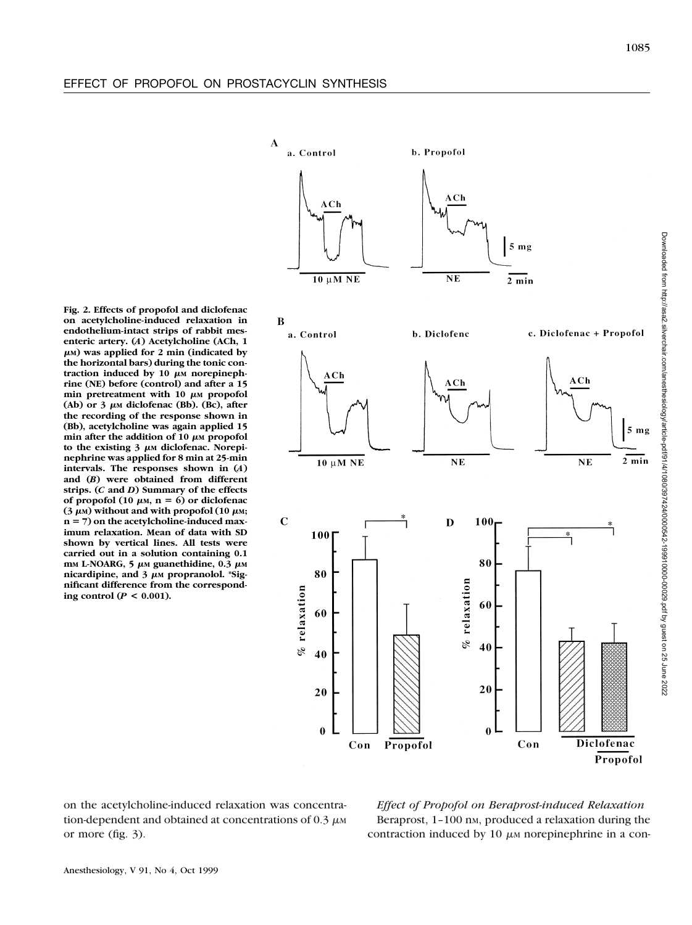Downloaded from http://asa2.silverchair.com/anesthesiology/article-pdf/91/4/1080/397424/0000542-199910000-00029.pdf by guest on 25 June 2022

Downloaded from http://asa2.silverchair.com/anesthesiology/article-pdf91/4/1080/3974240000642-199910000029.pdf by guest on 25 June 2022

 $\mathbf{A}$ 

a. Control

 $ACh$  $A$  $Ch$  $5<sub>mg</sub>$  $10 \mu M NE$  $NE$  $2 \text{ min}$ B b. Diclofenc c. Diclofenac + Propofol a. Control  $ACh$  $ACh$  $ACh$  $10 \mu M NE$  $NE$  $N<sub>E</sub>$  $\mathbf C$  $\mathbf D$ 100 100  $\overline{\mathbf{r}}$ 80 80 % relaxation  $%$  relaxation 60 60 40 40 20 20  $\bf{0}$  $\bf{0}$ Diclofenac Propofol Con Con Propofol

b. Propofol

**Fig. 2. Effects of propofol and diclofenac on acetylcholine-induced relaxation in endothelium-intact strips of rabbit mesenteric artery. (***A***) Acetylcholine (ACh, 1** <sup>m</sup>**M) was applied for 2 min (indicated by the horizontal bars) during the tonic con**traction induced by  $10 \mu$ M norepineph**rine (NE) before (control) and after a 15**  $min$  pretreatment with 10  $\mu$ <sub>M</sub> propofol  $(Ab)$  or  $3 \mu$ **M** diclofenac (Bb). (Bc), after **the recording of the response shown in (Bb), acetylcholine was again applied 15**  $min$  after the addition of 10  $\mu$ <sub>M</sub> propofol to the existing  $3 \mu$ M diclofenac. Norepi**nephrine was applied for 8 min at 25-min intervals. The responses shown in (***A***) and (***B***) were obtained from different strips. (***C* **and** *D***) Summary of the effects** of propofol (10  $\mu$ M, n = 6) or diclofenac  $(3 \mu)$  without and with propofol (10  $\mu$ M; **n** 5 **7) on the acetylcholine-induced maximum relaxation. Mean of data with SD shown by vertical lines. All tests were carried out in a solution containing 0.1** mm L-NOARG, 5  $\mu$ m guanethidine, 0.3  $\mu$ m nicardipine, and 3 μM propranolol. \*Sig**nificant difference from the corresponding control (***P* **< 0.001).**

on the acetylcholine-induced relaxation was concentration-dependent and obtained at concentrations of  $0.3 \mu$ MM or more (fig. 3).

*Effect of Propofol on Beraprost-induced Relaxation* Beraprost, 1-100 nm, produced a relaxation during the contraction induced by 10  $\mu$ M norepinephrine in a con-

1085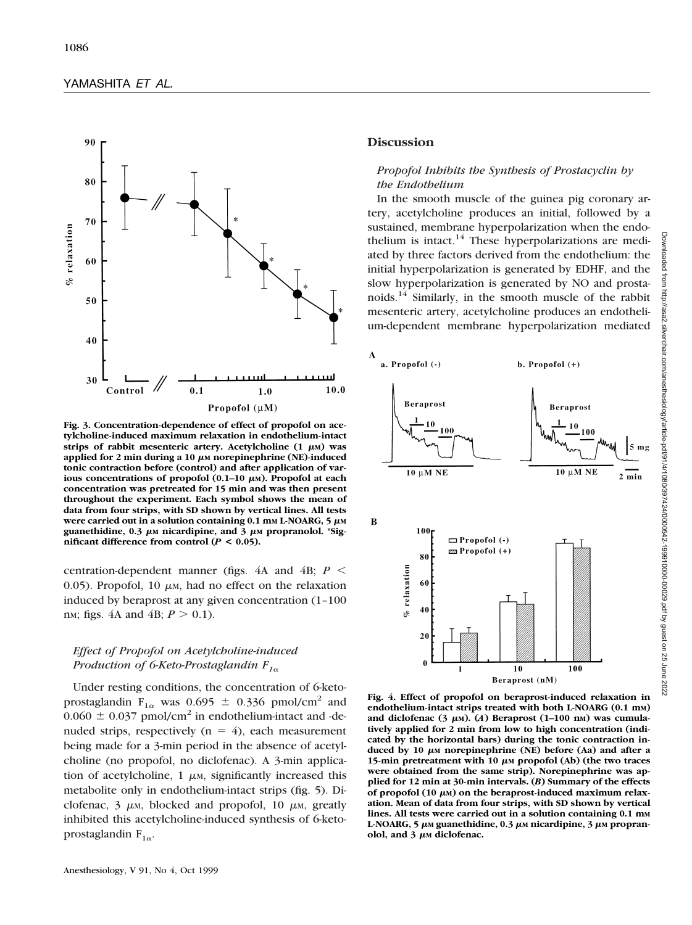

**Fig. 3. Concentration-dependence of effect of propofol on acetylcholine-induced maximum relaxation in endothelium-intact** strips of rabbit mesenteric artery. Acetylcholine  $(1 \mu M)$  was applied for 2 min during a 10  $\mu$ M norepinephrine (NE)-induced **tonic contraction before (control) and after application of various concentrations of propofol (0.1–10 μM). Propofol at each concentration was pretreated for 15 min and was then present throughout the experiment. Each symbol shows the mean of data from four strips, with SD shown by vertical lines. All tests were carried out in a solution containing 0.1 mm L-NOARG,**  $5 \mu M$ guanethidine,  $0.3 \mu \text{m}$  nicardipine, and  $3 \mu \text{m}$  propranolol. \*Sig**nificant difference from control (** $P < 0.05$ **).** 

centration-dependent manner (figs.  $4A$  and  $4B$ ;  $P \leq$ 0.05). Propofol, 10  $\mu$ M, had no effect on the relaxation induced by beraprost at any given concentration (1–100 n<sub>M</sub>; figs. 4A and 4B;  $P > 0.1$ ).

# *Effect of Propofol on Acetylcholine-induced Production of 6-Keto-Prostaglandin F1*<sup>a</sup>

Under resting conditions, the concentration of 6-ketoprostaglandin F<sub>1 $\alpha$ </sub> was 0.695  $\pm$  0.336 pmol/cm<sup>2</sup> and  $0.060 \pm 0.037$  pmol/cm<sup>2</sup> in endothelium-intact and -denuded strips, respectively ( $n = 4$ ), each measurement being made for a 3-min period in the absence of acetylcholine (no propofol, no diclofenac). A 3-min application of acetylcholine,  $1 \mu$ <sub>M</sub>, significantly increased this metabolite only in endothelium-intact strips (fig. 5). Diclofenac,  $3 \mu$ M, blocked and propofol, 10  $\mu$ M, greatly inhibited this acetylcholine-induced synthesis of 6-ketoprostaglandin  $F_{1\alpha}$ .

# **Discussion**

# *Propofol Inhibits the Synthesis of Prostacyclin by the Endothelium*

In the smooth muscle of the guinea pig coronary artery, acetylcholine produces an initial, followed by a sustained, membrane hyperpolarization when the endothelium is intact.<sup>14</sup> These hyperpolarizations are mediated by three factors derived from the endothelium: the initial hyperpolarization is generated by EDHF, and the slow hyperpolarization is generated by NO and prostanoids. $14$  Similarly, in the smooth muscle of the rabbit mesenteric artery, acetylcholine produces an endothelium-dependent membrane hyperpolarization mediated



**Fig. 4. Effect of propofol on beraprost-induced relaxation in endothelium-intact strips treated with both L-NOARG (0.1 mM)** and diclofenac  $(3 \mu)$ .  $(A)$  Beraprost  $(1-100 \text{ nm})$  was cumula**tively applied for 2 min from low to high concentration (indicated by the horizontal bars) during the tonic contraction induced by 10** <sup>m</sup>**M norepinephrine (NE) before (Aa) and after a 15-min pretreatment with 10**  $\mu$ M propofol (Ab) (the two traces **were obtained from the same strip). Norepinephrine was applied for 12 min at 30-min intervals. (***B***) Summary of the effects** of propofol (10 μM) on the beraprost-induced maximum relax**ation. Mean of data from four strips, with SD shown by vertical lines. All tests were carried out in a solution containing 0.1 mM** L-NOARG, 5  $\mu$ M guanethidine, 0.3  $\mu$ M nicardipine, 3  $\mu$ M propran**olol, and 3** μm diclofenac.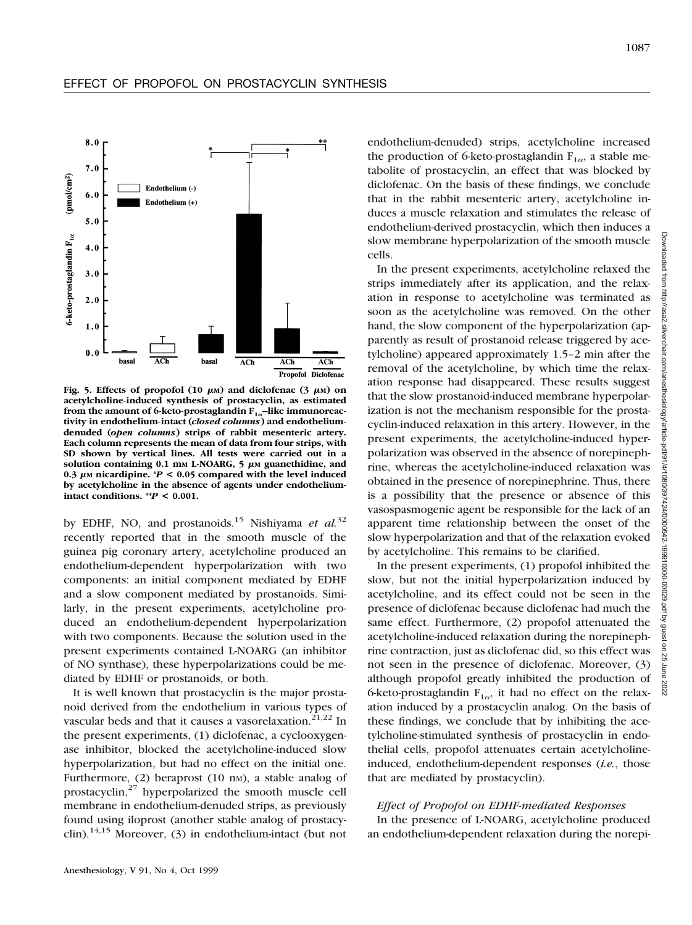

Fig. 5. Effects of propofol  $(10 \mu M)$  and diclofenac  $(3 \mu M)$  on **acetylcholine-induced synthesis of prostacyclin, as estimated** from the amount of 6-keto-prostaglandin F<sub>1a</sub>-like immunoreac**tivity in endothelium-intact (***closed columns***) and endotheliumdenuded (***open columns***) strips of rabbit mesenteric artery. Each column represents the mean of data from four strips, with SD shown by vertical lines. All tests were carried out in a** solution containing  $0.1$  mm L-NOARG,  $5 \mu$ M guanethidine, and 0.3  $\mu$ M nicardipine. \**P* < 0.05 compared with the level induced **by acetylcholine in the absence of agents under endotheliumintact conditions.**  $^{**}P < 0.001$ .

by EDHF, NO, and prostanoids.15 Nishiyama *et al.*<sup>32</sup> recently reported that in the smooth muscle of the guinea pig coronary artery, acetylcholine produced an endothelium-dependent hyperpolarization with two components: an initial component mediated by EDHF and a slow component mediated by prostanoids. Similarly, in the present experiments, acetylcholine produced an endothelium-dependent hyperpolarization with two components. Because the solution used in the present experiments contained L-NOARG (an inhibitor of NO synthase), these hyperpolarizations could be mediated by EDHF or prostanoids, or both.

It is well known that prostacyclin is the major prostanoid derived from the endothelium in various types of vascular beds and that it causes a vasorelaxation.<sup>21,22</sup> In the present experiments, (1) diclofenac, a cyclooxygenase inhibitor, blocked the acetylcholine-induced slow hyperpolarization, but had no effect on the initial one. Furthermore,  $(2)$  beraprost  $(10 \text{ nm})$ , a stable analog of prostacyclin, $27$  hyperpolarized the smooth muscle cell membrane in endothelium-denuded strips, as previously found using iloprost (another stable analog of prostacyclin).<sup>14,15</sup> Moreover, (3) in endothelium-intact (but not

endothelium-denuded) strips, acetylcholine increased the production of 6-keto-prostaglandin  $F_{1\alpha}$ , a stable metabolite of prostacyclin, an effect that was blocked by diclofenac. On the basis of these findings, we conclude that in the rabbit mesenteric artery, acetylcholine induces a muscle relaxation and stimulates the release of endothelium-derived prostacyclin, which then induces a slow membrane hyperpolarization of the smooth muscle cells.

In the present experiments, acetylcholine relaxed the strips immediately after its application, and the relaxation in response to acetylcholine was terminated as soon as the acetylcholine was removed. On the other hand, the slow component of the hyperpolarization (apparently as result of prostanoid release triggered by acetylcholine) appeared approximately 1.5–2 min after the removal of the acetylcholine, by which time the relaxation response had disappeared. These results suggest that the slow prostanoid-induced membrane hyperpolarization is not the mechanism responsible for the prostacyclin-induced relaxation in this artery. However, in the present experiments, the acetylcholine-induced hyperpolarization was observed in the absence of norepinephrine, whereas the acetylcholine-induced relaxation was obtained in the presence of norepinephrine. Thus, there is a possibility that the presence or absence of this vasospasmogenic agent be responsible for the lack of an apparent time relationship between the onset of the slow hyperpolarization and that of the relaxation evoked by acetylcholine. This remains to be clarified.

In the present experiments, (1) propofol inhibited the slow, but not the initial hyperpolarization induced by acetylcholine, and its effect could not be seen in the presence of diclofenac because diclofenac had much the same effect. Furthermore, (2) propofol attenuated the acetylcholine-induced relaxation during the norepinephrine contraction, just as diclofenac did, so this effect was not seen in the presence of diclofenac. Moreover, (3) although propofol greatly inhibited the production of 6-keto-prostaglandin  $F_{1\alpha}$ , it had no effect on the relaxation induced by a prostacyclin analog. On the basis of these findings, we conclude that by inhibiting the acetylcholine-stimulated synthesis of prostacyclin in endothelial cells, propofol attenuates certain acetylcholineinduced, endothelium-dependent responses (*i.e.*, those that are mediated by prostacyclin).

## *Effect of Propofol on EDHF-mediated Responses*

In the presence of L-NOARG, acetylcholine produced an endothelium-dependent relaxation during the norepi-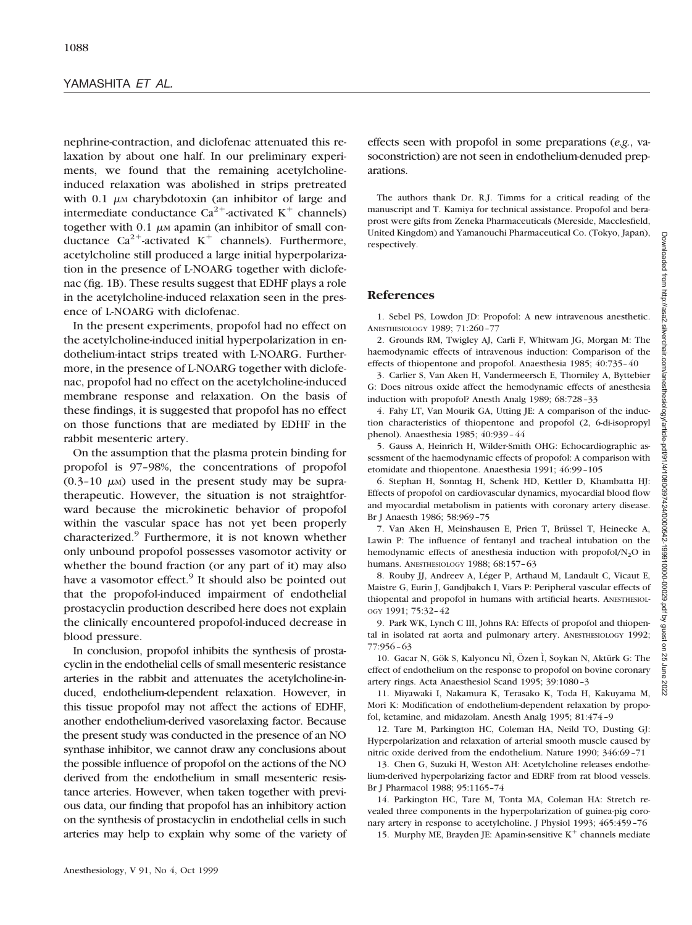nephrine-contraction, and diclofenac attenuated this relaxation by about one half. In our preliminary experiments, we found that the remaining acetylcholineinduced relaxation was abolished in strips pretreated with  $0.1 \mu$ M charybdotoxin (an inhibitor of large and intermediate conductance  $Ca^{2+}$ -activated K<sup>+</sup> channels) together with  $0.1 \mu$ M apamin (an inhibitor of small conductance  $Ca^{2+}$ -activated K<sup>+</sup> channels). Furthermore, acetylcholine still produced a large initial hyperpolarization in the presence of L-NOARG together with diclofenac (fig. 1B). These results suggest that EDHF plays a role in the acetylcholine-induced relaxation seen in the presence of L-NOARG with diclofenac.

In the present experiments, propofol had no effect on the acetylcholine-induced initial hyperpolarization in endothelium-intact strips treated with L-NOARG. Furthermore, in the presence of L-NOARG together with diclofenac, propofol had no effect on the acetylcholine-induced membrane response and relaxation. On the basis of these findings, it is suggested that propofol has no effect on those functions that are mediated by EDHF in the rabbit mesenteric artery.

On the assumption that the plasma protein binding for propofol is 97–98%, the concentrations of propofol  $(0.3-10 \mu)$  used in the present study may be supratherapeutic. However, the situation is not straightforward because the microkinetic behavior of propofol within the vascular space has not yet been properly characterized.<sup>9</sup> Furthermore, it is not known whether only unbound propofol possesses vasomotor activity or whether the bound fraction (or any part of it) may also have a vasomotor effect.<sup>9</sup> It should also be pointed out that the propofol-induced impairment of endothelial prostacyclin production described here does not explain the clinically encountered propofol-induced decrease in blood pressure.

In conclusion, propofol inhibits the synthesis of prostacyclin in the endothelial cells of small mesenteric resistance arteries in the rabbit and attenuates the acetylcholine-induced, endothelium-dependent relaxation. However, in this tissue propofol may not affect the actions of EDHF, another endothelium-derived vasorelaxing factor. Because the present study was conducted in the presence of an NO synthase inhibitor, we cannot draw any conclusions about the possible influence of propofol on the actions of the NO derived from the endothelium in small mesenteric resistance arteries. However, when taken together with previous data, our finding that propofol has an inhibitory action on the synthesis of prostacyclin in endothelial cells in such arteries may help to explain why some of the variety of

effects seen with propofol in some preparations (*e.g.*, vasoconstriction) are not seen in endothelium-denuded preparations.

The authors thank Dr. R.J. Timms for a critical reading of the manuscript and T. Kamiya for technical assistance. Propofol and beraprost were gifts from Zeneka Pharmaceuticals (Mereside, Macclesfield, United Kingdom) and Yamanouchi Pharmaceutical Co. (Tokyo, Japan), respectively.

# **References**

1. Sebel PS, Lowdon JD: Propofol: A new intravenous anesthetic. ANESTHESIOLOGY 1989; 71:260–77

2. Grounds RM, Twigley AJ, Carli F, Whitwam JG, Morgan M: The haemodynamic effects of intravenous induction: Comparison of the effects of thiopentone and propofol. Anaesthesia 1985; 40:735–40

3. Carlier S, Van Aken H, Vandermeersch E, Thorniley A, Byttebier G: Does nitrous oxide affect the hemodynamic effects of anesthesia induction with propofol? Anesth Analg 1989; 68:728–33

4. Fahy LT, Van Mourik GA, Utting JE: A comparison of the induction characteristics of thiopentone and propofol (2, 6-di-isopropyl phenol). Anaesthesia 1985; 40:939–44

5. Gauss A, Heinrich H, Wilder-Smith OHG: Echocardiographic assessment of the haemodynamic effects of propofol: A comparison with etomidate and thiopentone. Anaesthesia 1991; 46:99–105

6. Stephan H, Sonntag H, Schenk HD, Kettler D, Khambatta HJ: Effects of propofol on cardiovascular dynamics, myocardial blood flow and myocardial metabolism in patients with coronary artery disease. Br J Anaesth 1986; 58:969–75

7. Van Aken H, Meinshausen E, Prien T, Brüssel T, Heinecke A, Lawin P: The influence of fentanyl and tracheal intubation on the hemodynamic effects of anesthesia induction with propofol/ $N_2O$  in humans. ANESTHESIOLOGY 1988; 68:157–63

8. Rouby JJ, Andreev A, Léger P, Arthaud M, Landault C, Vicaut E, Maistre G, Eurin J, Gandjbakch I, Viars P: Peripheral vascular effects of thiopental and propofol in humans with artificial hearts. ANESTHESIOL-OGY 1991; 75:32–42

9. Park WK, Lynch C III, Johns RA: Effects of propofol and thiopental in isolated rat aorta and pulmonary artery. ANESTHESIOLOGY 1992; 77:956–63

10. Gacar N, Gök S, Kalyoncu NÌ, Özen Ì, Soykan N, Aktürk G: The effect of endothelium on the response to propofol on bovine coronary artery rings. Acta Anaesthesiol Scand 1995; 39:1080–3

11. Miyawaki I, Nakamura K, Terasako K, Toda H, Kakuyama M, Mori K: Modification of endothelium-dependent relaxation by propofol, ketamine, and midazolam. Anesth Analg 1995; 81:474–9

12. Tare M, Parkington HC, Coleman HA, Neild TO, Dusting GJ: Hyperpolarization and relaxation of arterial smooth muscle caused by nitric oxide derived from the endothelium. Nature 1990; 346:69–71

13. Chen G, Suzuki H, Weston AH: Acetylcholine releases endothelium-derived hyperpolarizing factor and EDRF from rat blood vessels. Br J Pharmacol 1988; 95:1165–74

14. Parkington HC, Tare M, Tonta MA, Coleman HA: Stretch revealed three components in the hyperpolarization of guinea-pig coronary artery in response to acetylcholine. J Physiol 1993; 465:459–76

15. Murphy ME, Brayden JE: Apamin-sensitive  $K^+$  channels mediate